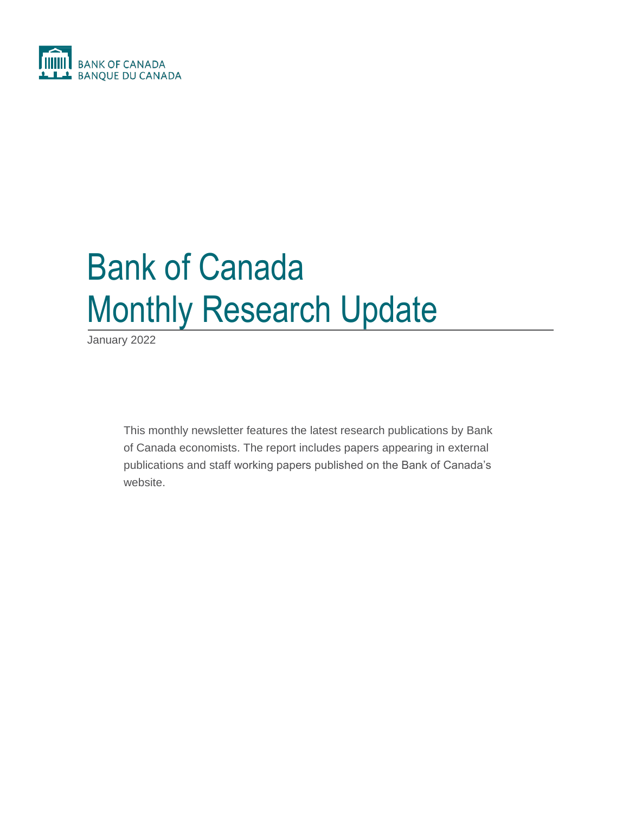

# Bank of Canada Monthly Research Update

January 2022

This monthly newsletter features the latest research publications by Bank of Canada economists. The report includes papers appearing in external publications and staff working papers published on the Bank of Canada's website.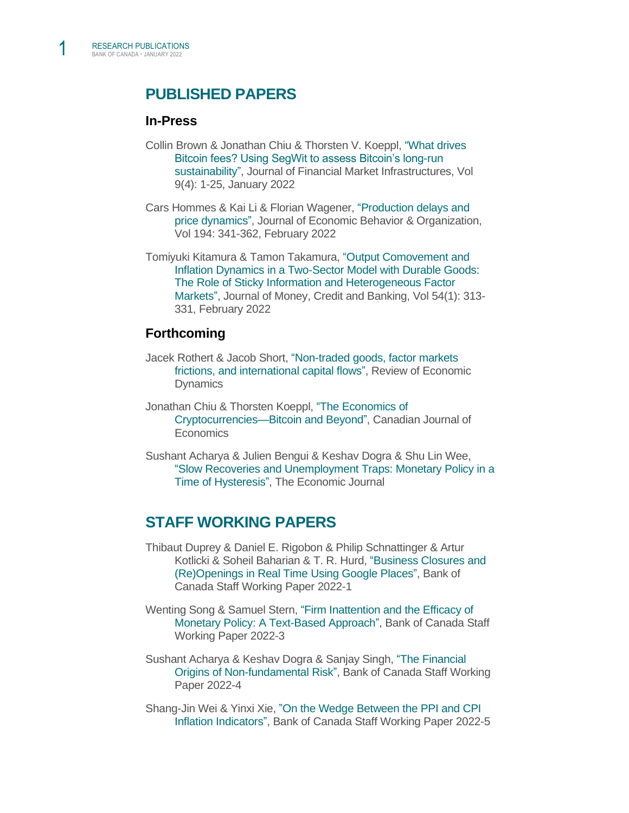1

# **PUBLISHED PAPERS**

#### **In-Press**

- Collin Brown & Jonathan Chiu & Thorsten V. Koeppl, ["What drives](https://www.risk.net/journal-of-financial-market-infrastructures/7914886/what-drives-bitcoin-fees-using-segwit-to-assess-bitcoins-long-run-sustainability)  [Bitcoin fees? Using SegWit to assess Bitcoin's long-run](https://www.risk.net/journal-of-financial-market-infrastructures/7914886/what-drives-bitcoin-fees-using-segwit-to-assess-bitcoins-long-run-sustainability)  [sustainability",](https://www.risk.net/journal-of-financial-market-infrastructures/7914886/what-drives-bitcoin-fees-using-segwit-to-assess-bitcoins-long-run-sustainability) Journal of Financial Market Infrastructures, Vol 9(4): 1-25, January 2022
- Cars Hommes & Kai Li & Florian Wagener, ["Production delays and](https://www.sciencedirect.com/science/article/pii/S0167268121005436#!)  [price dynamics",](https://www.sciencedirect.com/science/article/pii/S0167268121005436#!) Journal of Economic Behavior & Organization, Vol 194: 341-362, February 2022
- Tomiyuki Kitamura & Tamon Takamura, ["Output Comovement and](https://onlinelibrary.wiley.com/doi/10.1111/jmcb.12800)  [Inflation Dynamics in a Two-Sector Model with Durable Goods:](https://onlinelibrary.wiley.com/doi/10.1111/jmcb.12800)  [The Role of Sticky Information and Heterogeneous Factor](https://onlinelibrary.wiley.com/doi/10.1111/jmcb.12800)  [Markets",](https://onlinelibrary.wiley.com/doi/10.1111/jmcb.12800) Journal of Money, Credit and Banking, Vol 54(1): 313- 331, February 2022

#### **Forthcoming**

- Jacek Rothert & Jacob Short, ["Non-traded goods, factor markets](https://grape.org.pl/WP/59_RothertShort_website.pdf)  frictions, and [international capital flows",](https://grape.org.pl/WP/59_RothertShort_website.pdf) Review of Economic **Dynamics**
- Jonathan Chiu & Thorsten Koeppl, ["The Economics of](https://www.bankofcanada.ca/2019/09/staff-working-paper-2019-40/)  [Cryptocurrencies—Bitcoin and Beyond",](https://www.bankofcanada.ca/2019/09/staff-working-paper-2019-40/) Canadian Journal of **Economics**
- Sushant Acharya & Julien Bengui & Keshav Dogra & Shu Lin Wee, ["Slow Recoveries and Unemployment Traps: Monetary Policy in a](https://sushantacharya.github.io/pdfs/hysteresis.pdf)  [Time of Hysteresis",](https://sushantacharya.github.io/pdfs/hysteresis.pdf) The Economic Journal

# **STAFF WORKING PAPERS**

- Thibaut Duprey & Daniel E. Rigobon & Philip Schnattinger & Artur Kotlicki & Soheil Baharian & T. R. Hurd, ["Business Closures and](https://www.bankofcanada.ca/2022/01/staff-working-paper-2022-1/)  [\(Re\)Openings in Real Time Using Google Places",](https://www.bankofcanada.ca/2022/01/staff-working-paper-2022-1/) Bank of Canada Staff Working Paper 2022-1
- Wenting Song & Samuel Stern, ["Firm Inattention and the Efficacy of](https://www.bankofcanada.ca/2022/01/staff-working-paper-2022-3/)  [Monetary Policy: A Text-Based Approach",](https://www.bankofcanada.ca/2022/01/staff-working-paper-2022-3/) Bank of Canada Staff Working Paper 2022-3
- Sushant Acharya & Keshav Dogra & Sanjay Singh, ["The Financial](https://www.bankofcanada.ca/2022/01/staff-working-paper-2022-4/)  [Origins of Non-fundamental Risk",](https://www.bankofcanada.ca/2022/01/staff-working-paper-2022-4/) Bank of Canada Staff Working Paper 2022-4
- Shang-Jin Wei & Yinxi Xie, ["On the Wedge Between the PPI and CPI](https://www.bankofcanada.ca/2022/01/staff-working-paper-2022-5/)  [Inflation Indicators",](https://www.bankofcanada.ca/2022/01/staff-working-paper-2022-5/) Bank of Canada Staff Working Paper 2022-5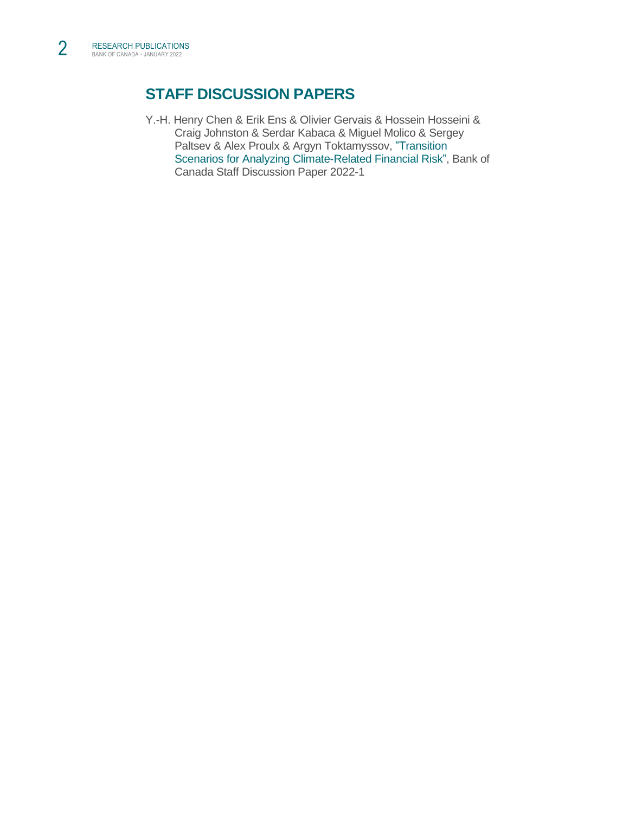# **STAFF DISCUSSION PAPERS**

Y.-H. Henry Chen & Erik Ens & Olivier Gervais & Hossein Hosseini & Craig Johnston & Serdar Kabaca & Miguel Molico & Sergey Paltsev & Alex Proulx & Argyn Toktamyssov, "Transition [Scenarios for Analyzing Climate-Related Financial Risk",](https://www.bankofcanada.ca/2022/01/staff-discussion-paper-2022-1/) Bank of Canada Staff Discussion Paper 2022-1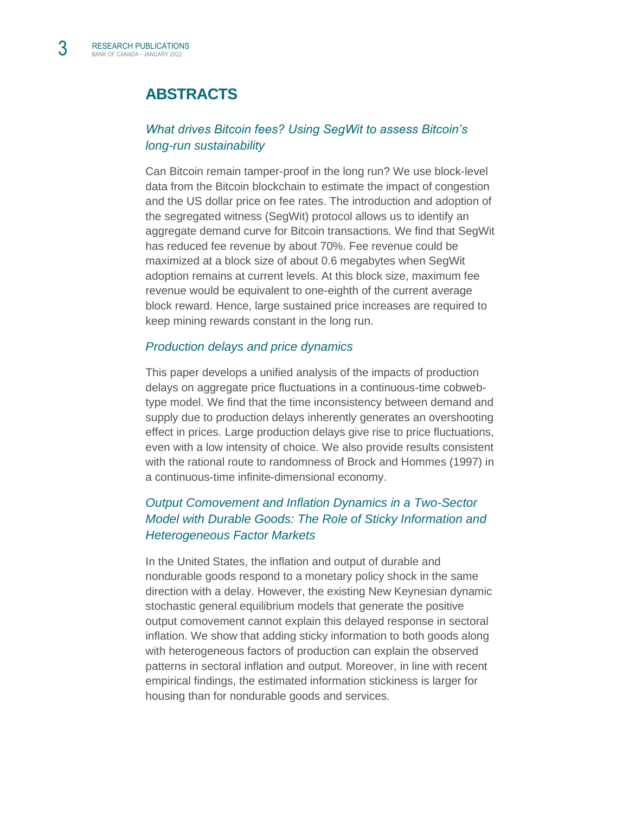# **ABSTRACTS**

# *[What drives Bitcoin fees? Using SegWit to assess Bitcoin's](https://www.risk.net/journal-of-financial-market-infrastructures/7914886/what-drives-bitcoin-fees-using-segwit-to-assess-bitcoins-long-run-sustainability)  [long-run sustainability](https://www.risk.net/journal-of-financial-market-infrastructures/7914886/what-drives-bitcoin-fees-using-segwit-to-assess-bitcoins-long-run-sustainability)*

Can Bitcoin remain tamper-proof in the long run? We use block-level data from the Bitcoin blockchain to estimate the impact of congestion and the US dollar price on fee rates. The introduction and adoption of the segregated witness (SegWit) protocol allows us to identify an aggregate demand curve for Bitcoin transactions. We find that SegWit has reduced fee revenue by about 70%. Fee revenue could be maximized at a block size of about 0.6 megabytes when SegWit adoption remains at current levels. At this block size, maximum fee revenue would be equivalent to one-eighth of the current average block reward. Hence, large sustained price increases are required to keep mining rewards constant in the long run.

#### *[Production delays and price dynamics](https://www.sciencedirect.com/science/article/pii/S0167268121005436)*

This paper develops a unified analysis of the impacts of production delays on aggregate price fluctuations in a continuous-time cobwebtype model. We find that the time inconsistency between demand and supply due to production delays inherently generates an overshooting effect in prices. Large production delays give rise to price fluctuations, even with a low intensity of choice. We also provide results consistent with the rational route to randomness of Brock and Hommes (1997) in a continuous-time infinite-dimensional economy.

# *[Output Comovement and Inflation Dynamics in a Two-Sector](https://onlinelibrary.wiley.com/doi/10.1111/jmcb.12800)  [Model with Durable Goods: The Role of Sticky Information and](https://onlinelibrary.wiley.com/doi/10.1111/jmcb.12800) [Heterogeneous Factor Markets](https://onlinelibrary.wiley.com/doi/10.1111/jmcb.12800)*

In the United States, the inflation and output of durable and nondurable goods respond to a monetary policy shock in the same direction with a delay. However, the existing New Keynesian dynamic stochastic general equilibrium models that generate the positive output comovement cannot explain this delayed response in sectoral inflation. We show that adding sticky information to both goods along with heterogeneous factors of production can explain the observed patterns in sectoral inflation and output. Moreover, in line with recent empirical findings, the estimated information stickiness is larger for housing than for nondurable goods and services.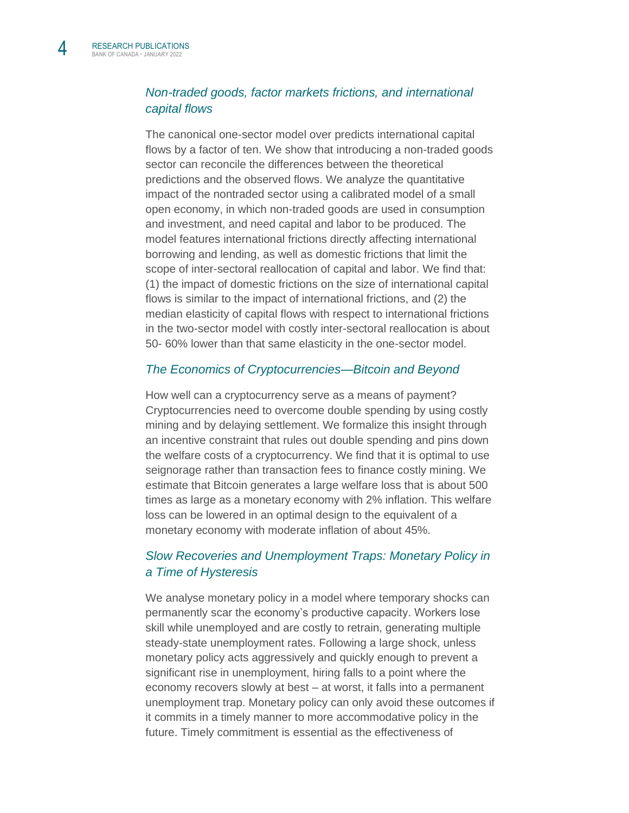## *Non-traded [goods, factor markets frictions, and](https://grape.org.pl/WP/59_RothertShort_website.pdf) international [capital flows](https://grape.org.pl/WP/59_RothertShort_website.pdf)*

The canonical one-sector model over predicts international capital flows by a factor of ten. We show that introducing a non-traded goods sector can reconcile the differences between the theoretical predictions and the observed flows. We analyze the quantitative impact of the nontraded sector using a calibrated model of a small open economy, in which non-traded goods are used in consumption and investment, and need capital and labor to be produced. The model features international frictions directly affecting international borrowing and lending, as well as domestic frictions that limit the scope of inter-sectoral reallocation of capital and labor. We find that: (1) the impact of domestic frictions on the size of international capital flows is similar to the impact of international frictions, and (2) the median elasticity of capital flows with respect to international frictions in the two-sector model with costly inter-sectoral reallocation is about 50- 60% lower than that same elasticity in the one-sector model.

#### *[The Economics of Cryptocurrencies—Bitcoin and Beyond](https://www.bankofcanada.ca/2019/09/staff-working-paper-2019-40/)*

How well can a cryptocurrency serve as a means of payment? Cryptocurrencies need to overcome double spending by using costly mining and by delaying settlement. We formalize this insight through an incentive constraint that rules out double spending and pins down the welfare costs of a cryptocurrency. We find that it is optimal to use seignorage rather than transaction fees to finance costly mining. We estimate that Bitcoin generates a large welfare loss that is about 500 times as large as a monetary economy with 2% inflation. This welfare loss can be lowered in an optimal design to the equivalent of a monetary economy with moderate inflation of about 45%.

## *[Slow Recoveries and Unemployment Traps:](https://sushantacharya.github.io/pdfs/hysteresis.pdf) Monetary Policy in [a Time of Hysteresis](https://sushantacharya.github.io/pdfs/hysteresis.pdf)*

We analyse monetary policy in a model where temporary shocks can permanently scar the economy's productive capacity. Workers lose skill while unemployed and are costly to retrain, generating multiple steady-state unemployment rates. Following a large shock, unless monetary policy acts aggressively and quickly enough to prevent a significant rise in unemployment, hiring falls to a point where the economy recovers slowly at best – at worst, it falls into a permanent unemployment trap. Monetary policy can only avoid these outcomes if it commits in a timely manner to more accommodative policy in the future. Timely commitment is essential as the effectiveness of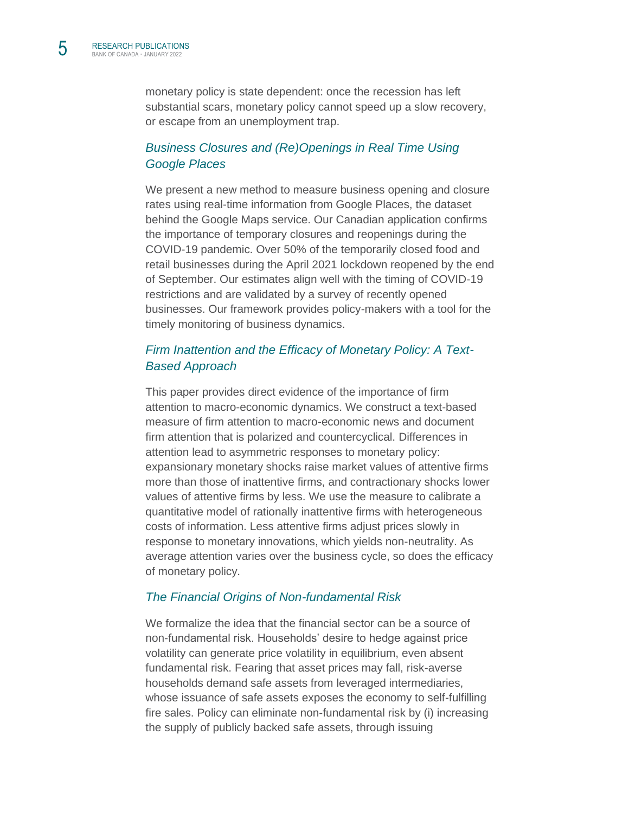monetary policy is state dependent: once the recession has left substantial scars, monetary policy cannot speed up a slow recovery, or escape from an unemployment trap.

## *[Business Closures and \(Re\)Openings in Real Time Using](https://www.bankofcanada.ca/2022/01/staff-working-paper-2022-1/)  [Google Places](https://www.bankofcanada.ca/2022/01/staff-working-paper-2022-1/)*

We present a new method to measure business opening and closure rates using real-time information from Google Places, the dataset behind the Google Maps service. Our Canadian application confirms the importance of temporary closures and reopenings during the COVID-19 pandemic. Over 50% of the temporarily closed food and retail businesses during the April 2021 lockdown reopened by the end of September. Our estimates align well with the timing of COVID-19 restrictions and are validated by a survey of recently opened businesses. Our framework provides policy-makers with a tool for the timely monitoring of business dynamics.

## *[Firm Inattention and the Efficacy of Monetary Policy: A Text-](https://www.bankofcanada.ca/2022/01/staff-working-paper-2022-3/)[Based Approach](https://www.bankofcanada.ca/2022/01/staff-working-paper-2022-3/)*

This paper provides direct evidence of the importance of firm attention to macro-economic dynamics. We construct a text-based measure of firm attention to macro-economic news and document firm attention that is polarized and countercyclical. Differences in attention lead to asymmetric responses to monetary policy: expansionary monetary shocks raise market values of attentive firms more than those of inattentive firms, and contractionary shocks lower values of attentive firms by less. We use the measure to calibrate a quantitative model of rationally inattentive firms with heterogeneous costs of information. Less attentive firms adjust prices slowly in response to monetary innovations, which yields non-neutrality. As average attention varies over the business cycle, so does the efficacy of monetary policy.

#### *[The Financial Origins of Non-fundamental Risk](https://www.bankofcanada.ca/2022/01/staff-working-paper-2022-4/)*

We formalize the idea that the financial sector can be a source of non-fundamental risk. Households' desire to hedge against price volatility can generate price volatility in equilibrium, even absent fundamental risk. Fearing that asset prices may fall, risk-averse households demand safe assets from leveraged intermediaries, whose issuance of safe assets exposes the economy to self-fulfilling fire sales. Policy can eliminate non-fundamental risk by (i) increasing the supply of publicly backed safe assets, through issuing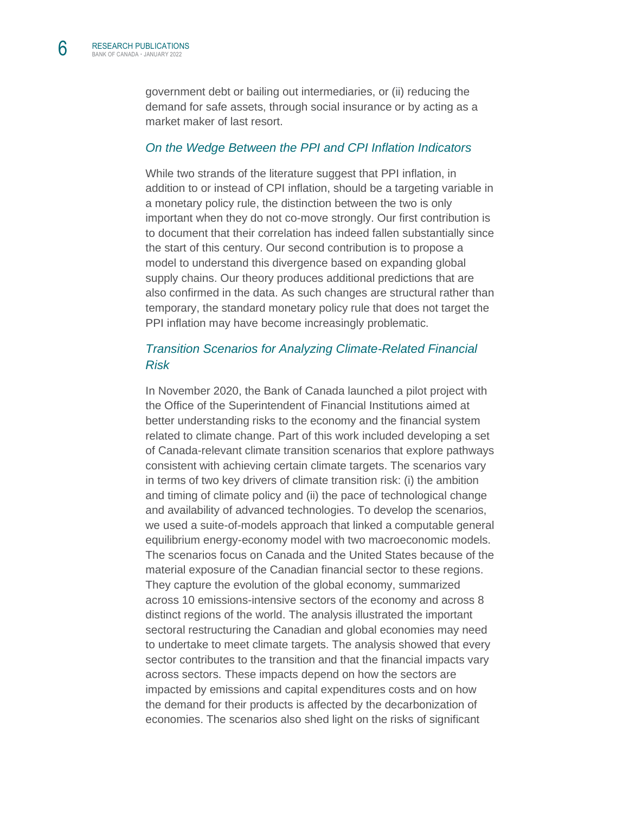6

government debt or bailing out intermediaries, or (ii) reducing the demand for safe assets, through social insurance or by acting as a market maker of last resort.

#### *[On the Wedge Between the PPI and CPI Inflation Indicators](https://www.bankofcanada.ca/2022/01/staff-working-paper-2022-5/)*

While two strands of the literature suggest that PPI inflation, in addition to or instead of CPI inflation, should be a targeting variable in a monetary policy rule, the distinction between the two is only important when they do not co-move strongly. Our first contribution is to document that their correlation has indeed fallen substantially since the start of this century. Our second contribution is to propose a model to understand this divergence based on expanding global supply chains. Our theory produces additional predictions that are also confirmed in the data. As such changes are structural rather than temporary, the standard monetary policy rule that does not target the PPI inflation may have become increasingly problematic.

#### *[Transition Scenarios for Analyzing Climate-Related Financial](https://www.bankofcanada.ca/2022/01/staff-discussion-paper-2022-1/)  [Risk](https://www.bankofcanada.ca/2022/01/staff-discussion-paper-2022-1/)*

In November 2020, the Bank of Canada launched a pilot project with the Office of the Superintendent of Financial Institutions aimed at better understanding risks to the economy and the financial system related to climate change. Part of this work included developing a set of Canada-relevant climate transition scenarios that explore pathways consistent with achieving certain climate targets. The scenarios vary in terms of two key drivers of climate transition risk: (i) the ambition and timing of climate policy and (ii) the pace of technological change and availability of advanced technologies. To develop the scenarios, we used a suite-of-models approach that linked a computable general equilibrium energy-economy model with two macroeconomic models. The scenarios focus on Canada and the United States because of the material exposure of the Canadian financial sector to these regions. They capture the evolution of the global economy, summarized across 10 emissions-intensive sectors of the economy and across 8 distinct regions of the world. The analysis illustrated the important sectoral restructuring the Canadian and global economies may need to undertake to meet climate targets. The analysis showed that every sector contributes to the transition and that the financial impacts vary across sectors. These impacts depend on how the sectors are impacted by emissions and capital expenditures costs and on how the demand for their products is affected by the decarbonization of economies. The scenarios also shed light on the risks of significant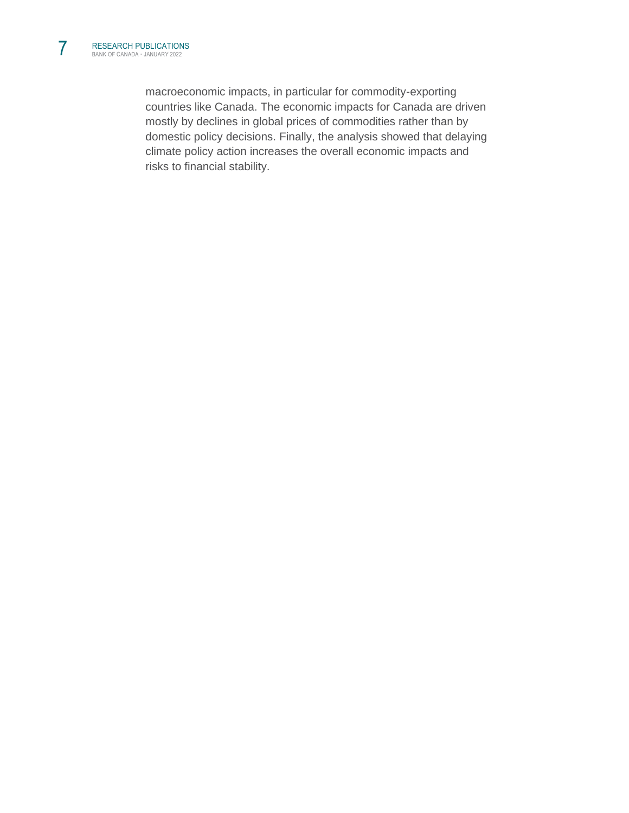macroeconomic impacts, in particular for commodity-exporting countries like Canada. The economic impacts for Canada are driven mostly by declines in global prices of commodities rather than by domestic policy decisions. Finally, the analysis showed that delaying climate policy action increases the overall economic impacts and risks to financial stability.